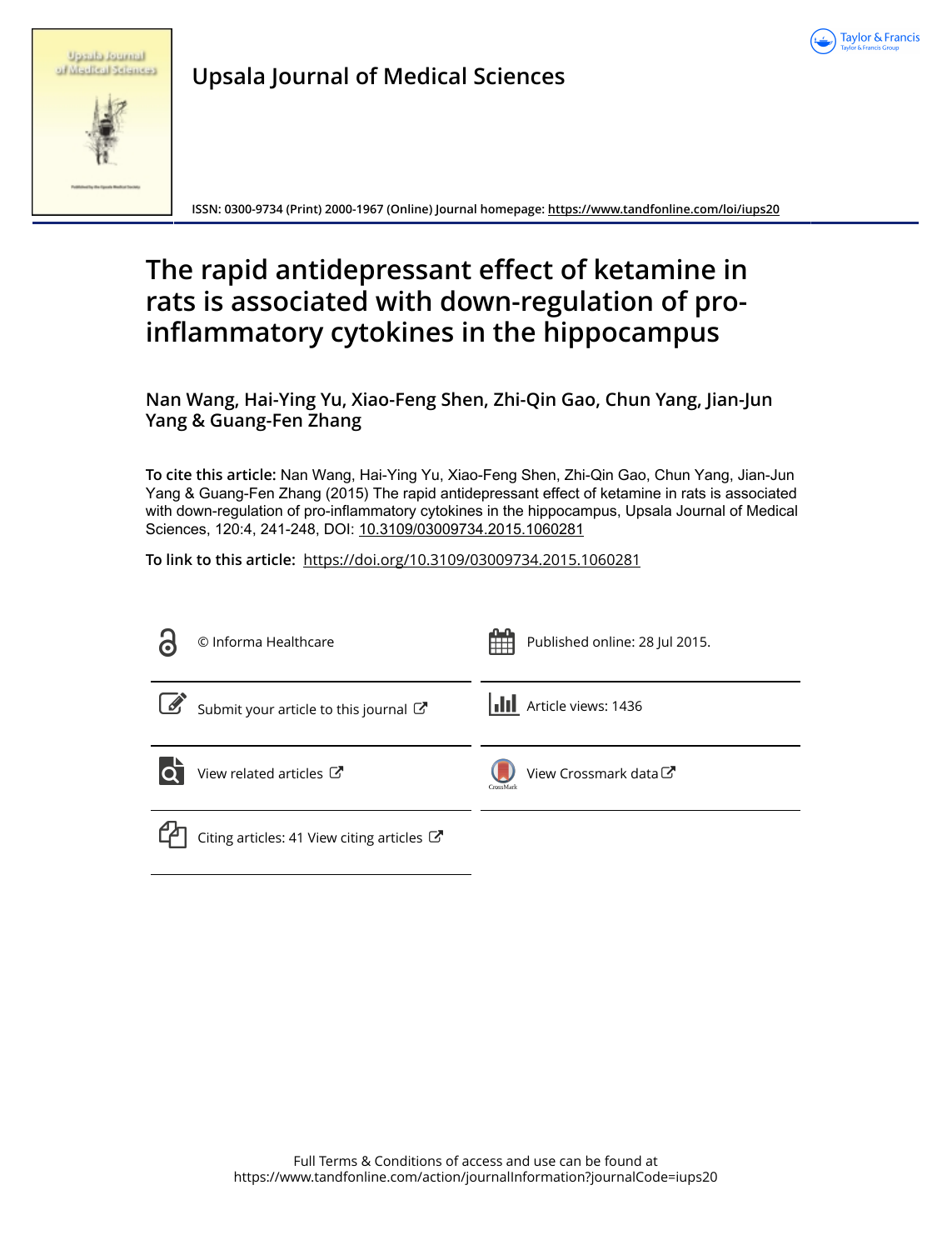

|  | <b>Spraha</b> Russiana |
|--|------------------------|
|  | of Madical Sciences    |

**Upsala Journal of Medical Sciences**

**ISSN: 0300-9734 (Print) 2000-1967 (Online) Journal homepage:<https://www.tandfonline.com/loi/iups20>**

# **The rapid antidepressant effect of ketamine in rats is associated with down-regulation of proinflammatory cytokines in the hippocampus**

**Nan Wang, Hai-Ying Yu, Xiao-Feng Shen, Zhi-Qin Gao, Chun Yang, Jian-Jun Yang & Guang-Fen Zhang**

**To cite this article:** Nan Wang, Hai-Ying Yu, Xiao-Feng Shen, Zhi-Qin Gao, Chun Yang, Jian-Jun Yang & Guang-Fen Zhang (2015) The rapid antidepressant effect of ketamine in rats is associated with down-regulation of pro-inflammatory cytokines in the hippocampus, Upsala Journal of Medical Sciences, 120:4, 241-248, DOI: [10.3109/03009734.2015.1060281](https://www.tandfonline.com/action/showCitFormats?doi=10.3109/03009734.2015.1060281)

**To link to this article:** <https://doi.org/10.3109/03009734.2015.1060281>

| $\overline{\mathbf{c}}$ | © Informa Healthcare                                            | Published online: 28 Jul 2015.     |
|-------------------------|-----------------------------------------------------------------|------------------------------------|
| $\boxed{\mathscr{G}}$   | Submit your article to this journal                             | <b>III</b> Article views: 1436     |
| lo                      | View related articles C                                         | View Crossmark data C<br>CrossMark |
|                         | Citing articles: 41 View citing articles $\mathbb{Z}^{\bullet}$ |                                    |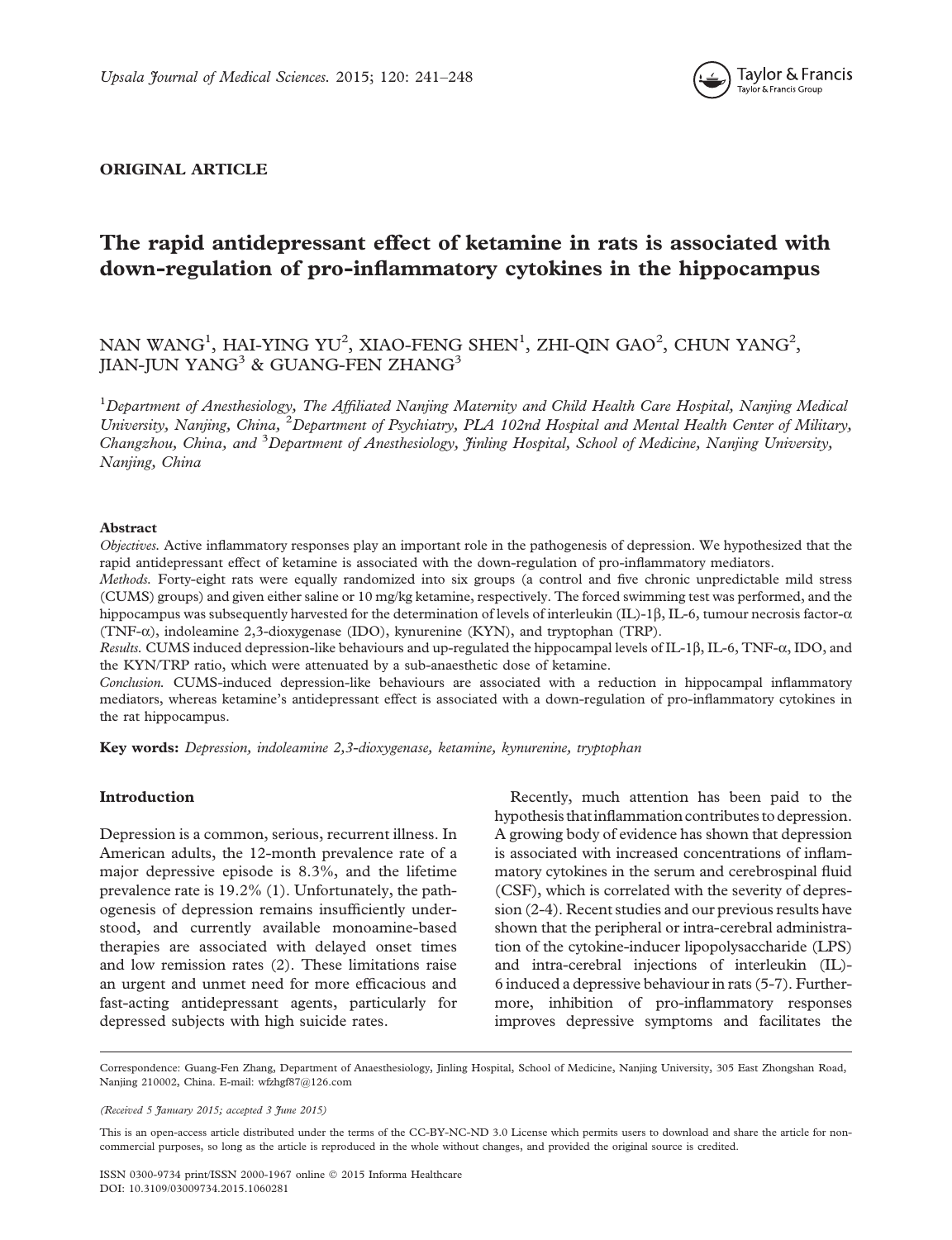

# ORIGINAL ARTICLE

# The rapid antidepressant effect of ketamine in rats is associated with down-regulation of pro-inflammatory cytokines in the hippocampus

# NAN WANG<sup>1</sup>, HAI-YING YU<sup>2</sup>, XIAO-FENG SHEN<sup>1</sup>, ZHI-QIN GAO<sup>2</sup>, CHUN YANG<sup>2</sup>, JIAN-JUN YANG<sup>3</sup> & GUANG-FEN ZHANG<sup>3</sup>

 $^1$ Department of Anesthesiology, The Affiliated Nanjing Maternity and Child Health Care Hospital, Nanjing Medical University, Nanjing, China, <sup>2</sup>Department of Psychiatry, PLA 102nd Hospital and Mental Health Center of Military, Changzhou, China, and <sup>3</sup>Department of Anesthesiology, Jinling Hospital, School of Medicine, Nanjing University, Nanjing, China

#### Abstract

Objectives. Active inflammatory responses play an important role in the pathogenesis of depression. We hypothesized that the rapid antidepressant effect of ketamine is associated with the down-regulation of pro-inflammatory mediators.

Methods. Forty-eight rats were equally randomized into six groups (a control and five chronic unpredictable mild stress (CUMS) groups) and given either saline or 10 mg/kg ketamine, respectively. The forced swimming test was performed, and the hippocampus was subsequently harvested for the determination of levels of interleukin (IL)-1 $\beta$ , IL-6, tumour necrosis factor- $\alpha$ (TNF- $\alpha$ ), indoleamine 2,3-dioxygenase (IDO), kynurenine (KYN), and tryptophan (TRP).

Results. CUMS induced depression-like behaviours and up-regulated the hippocampal levels of IL-1 $\beta$ , IL-6, TNF- $\alpha$ , IDO, and the KYN/TRP ratio, which were attenuated by a sub-anaesthetic dose of ketamine.

Conclusion. CUMS-induced depression-like behaviours are associated with a reduction in hippocampal inflammatory mediators, whereas ketamine's antidepressant effect is associated with a down-regulation of pro-inflammatory cytokines in the rat hippocampus.

Key words: Depression, indoleamine 2,3-dioxygenase, ketamine, kynurenine, tryptophan

#### Introduction

Depression is a common, serious, recurrent illness. In American adults, the 12-month prevalence rate of a major depressive episode is 8.3%, and the lifetime prevalence rate is 19.2% ([1](#page-7-0)). Unfortunately, the pathogenesis of depression remains insufficiently understood, and currently available monoamine-based therapies are associated with delayed onset times and low remission rates ([2](#page-7-0)). These limitations raise an urgent and unmet need for more efficacious and fast-acting antidepressant agents, particularly for depressed subjects with high suicide rates.

Recently, much attention has been paid to the hypothesis thatinflammation contributes to depression. A growing body of evidence has shown that depression is associated with increased concentrations of inflammatory cytokines in the serum and cerebrospinal fluid (CSF), which is correlated with the severity of depression ([2](#page-7-0)-[4](#page-7-0)). Recent studies and our previous results have shown that the peripheral or intra-cerebral administration of the cytokine-inducer lipopolysaccharide (LPS) and intra-cerebral injections of interleukin (IL)- 6 induced a depressive behaviour in rats ([5](#page-7-0)-[7](#page-7-0)). Furthermore, inhibition of pro-inflammatory responses improves depressive symptoms and facilitates the

Correspondence: Guang-Fen Zhang, Department of Anaesthesiology, Jinling Hospital, School of Medicine, Nanjing University, 305 East Zhongshan Road, Nanjing 210002, China. E-mail: [wfzhgf87@126.com](mailto:wfzhgf87@126.com)

(Received 5 January 2015; accepted 3 June 2015)

This is an open-access article distributed under the terms of the CC-BY-NC-ND 3.0 License which permits users to download and share the article for noncommercial purposes, so long as the article is reproduced in the whole without changes, and provided the original source is credited.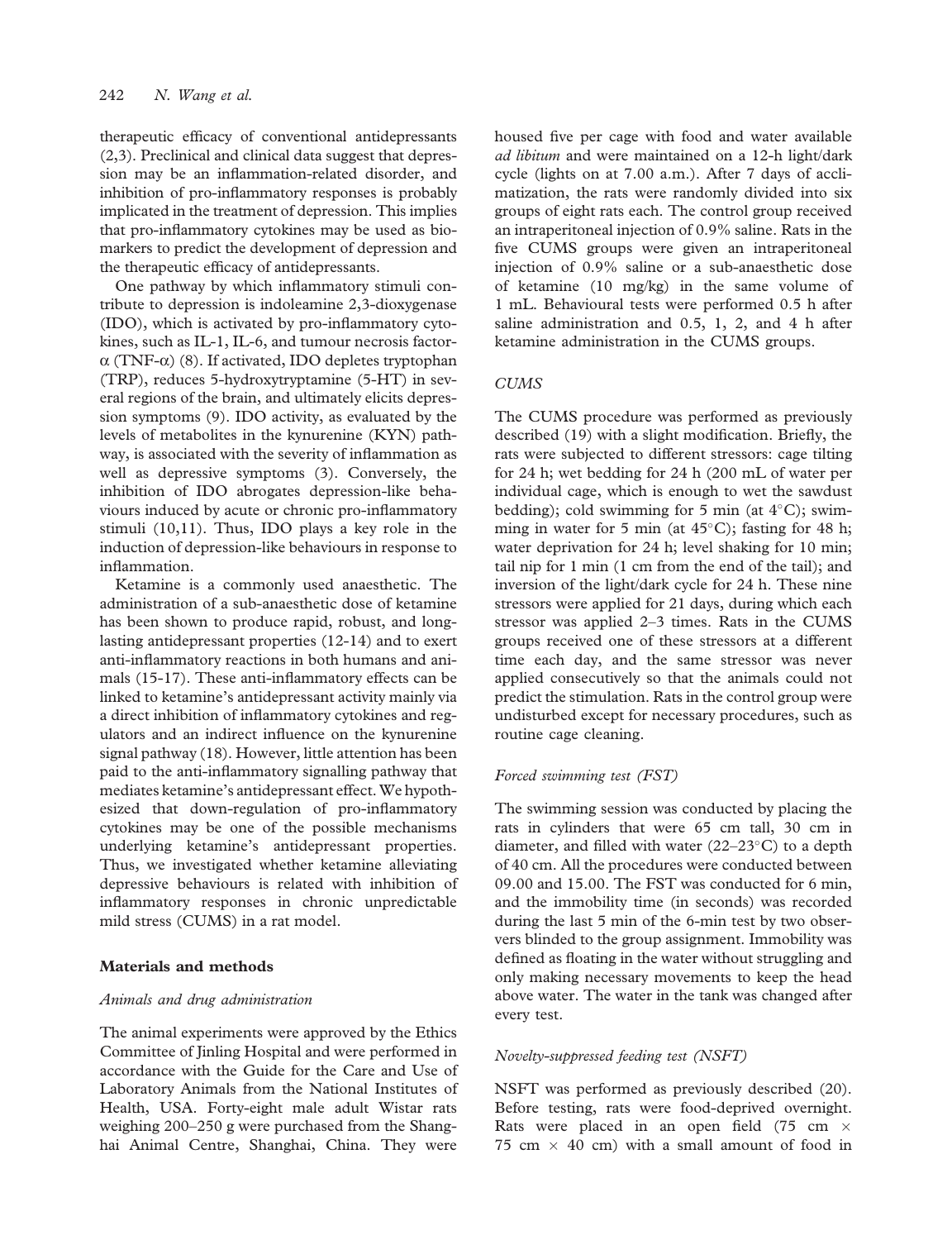therapeutic efficacy of conventional antidepressants [\(2,3](#page-7-0)). Preclinical and clinical data suggest that depression may be an inflammation-related disorder, and inhibition of pro-inflammatory responses is probably implicated in the treatment of depression. This implies that pro-inflammatory cytokines may be used as biomarkers to predict the development of depression and the therapeutic efficacy of antidepressants.

One pathway by which inflammatory stimuli contribute to depression is indoleamine 2,3-dioxygenase (IDO), which is activated by pro-inflammatory cytokines, such as IL-1, IL-6, and tumour necrosis factor- $\alpha$  (TNF- $\alpha$ ) [\(8\)](#page-7-0). If activated, IDO depletes tryptophan (TRP), reduces 5-hydroxytryptamine (5-HT) in several regions of the brain, and ultimately elicits depression symptoms [\(9\)](#page-7-0). IDO activity, as evaluated by the levels of metabolites in the kynurenine (KYN) pathway, is associated with the severity of inflammation as well as depressive symptoms ([3](#page-7-0)). Conversely, the inhibition of IDO abrogates depression-like behaviours induced by acute or chronic pro-inflammatory stimuli ([10,11](#page-7-0)). Thus, IDO plays a key role in the induction of depression-like behaviours in response to inflammation.

Ketamine is a commonly used anaesthetic. The administration of a sub-anaesthetic dose of ketamine has been shown to produce rapid, robust, and longlasting antidepressant properties [\(12-14](#page-7-0)) and to exert anti-inflammatory reactions in both humans and animals [\(15](#page-7-0)-[17\)](#page-7-0). These anti-inflammatory effects can be linked to ketamine's antidepressant activity mainly via a direct inhibition of inflammatory cytokines and regulators and an indirect influence on the kynurenine signal pathway ([18](#page-7-0)). However, little attention has been paid to the anti-inflammatory signalling pathway that mediates ketamine's antidepressant effect.We hypothesized that down-regulation of pro-inflammatory cytokines may be one of the possible mechanisms underlying ketamine's antidepressant properties. Thus, we investigated whether ketamine alleviating depressive behaviours is related with inhibition of inflammatory responses in chronic unpredictable mild stress (CUMS) in a rat model.

#### Materials and methods

#### Animals and drug administration

The animal experiments were approved by the Ethics Committee of Jinling Hospital and were performed in accordance with the Guide for the Care and Use of Laboratory Animals from the National Institutes of Health, USA. Forty-eight male adult Wistar rats weighing 200–250 g were purchased from the Shanghai Animal Centre, Shanghai, China. They were

housed five per cage with food and water available ad libitum and were maintained on a 12-h light/dark cycle (lights on at 7.00 a.m.). After 7 days of acclimatization, the rats were randomly divided into six groups of eight rats each. The control group received an intraperitoneal injection of 0.9% saline. Rats in the five CUMS groups were given an intraperitoneal injection of 0.9% saline or a sub-anaesthetic dose of ketamine (10 mg/kg) in the same volume of 1 mL. Behavioural tests were performed 0.5 h after saline administration and 0.5, 1, 2, and 4 h after ketamine administration in the CUMS groups.

## **CUMS**

The CUMS procedure was performed as previously described ([19\)](#page-7-0) with a slight modification. Briefly, the rats were subjected to different stressors: cage tilting for 24 h; wet bedding for 24 h (200 mL of water per individual cage, which is enough to wet the sawdust bedding); cold swimming for 5 min (at  $4^{\circ}$ C); swimming in water for 5 min (at  $45^{\circ}$ C); fasting for 48 h; water deprivation for 24 h; level shaking for 10 min; tail nip for 1 min (1 cm from the end of the tail); and inversion of the light/dark cycle for 24 h. These nine stressors were applied for 21 days, during which each stressor was applied 2–3 times. Rats in the CUMS groups received one of these stressors at a different time each day, and the same stressor was never applied consecutively so that the animals could not predict the stimulation. Rats in the control group were undisturbed except for necessary procedures, such as routine cage cleaning.

## Forced swimming test (FST)

The swimming session was conducted by placing the rats in cylinders that were 65 cm tall, 30 cm in diameter, and filled with water  $(22-23^{\circ}C)$  to a depth of 40 cm. All the procedures were conducted between 09.00 and 15.00. The FST was conducted for 6 min, and the immobility time (in seconds) was recorded during the last 5 min of the 6-min test by two observers blinded to the group assignment. Immobility was defined as floating in the water without struggling and only making necessary movements to keep the head above water. The water in the tank was changed after every test.

#### Novelty-suppressed feeding test (NSFT)

NSFT was performed as previously described [\(20\)](#page-7-0). Before testing, rats were food-deprived overnight. Rats were placed in an open field (75 cm  $\times$ 75 cm  $\times$  40 cm) with a small amount of food in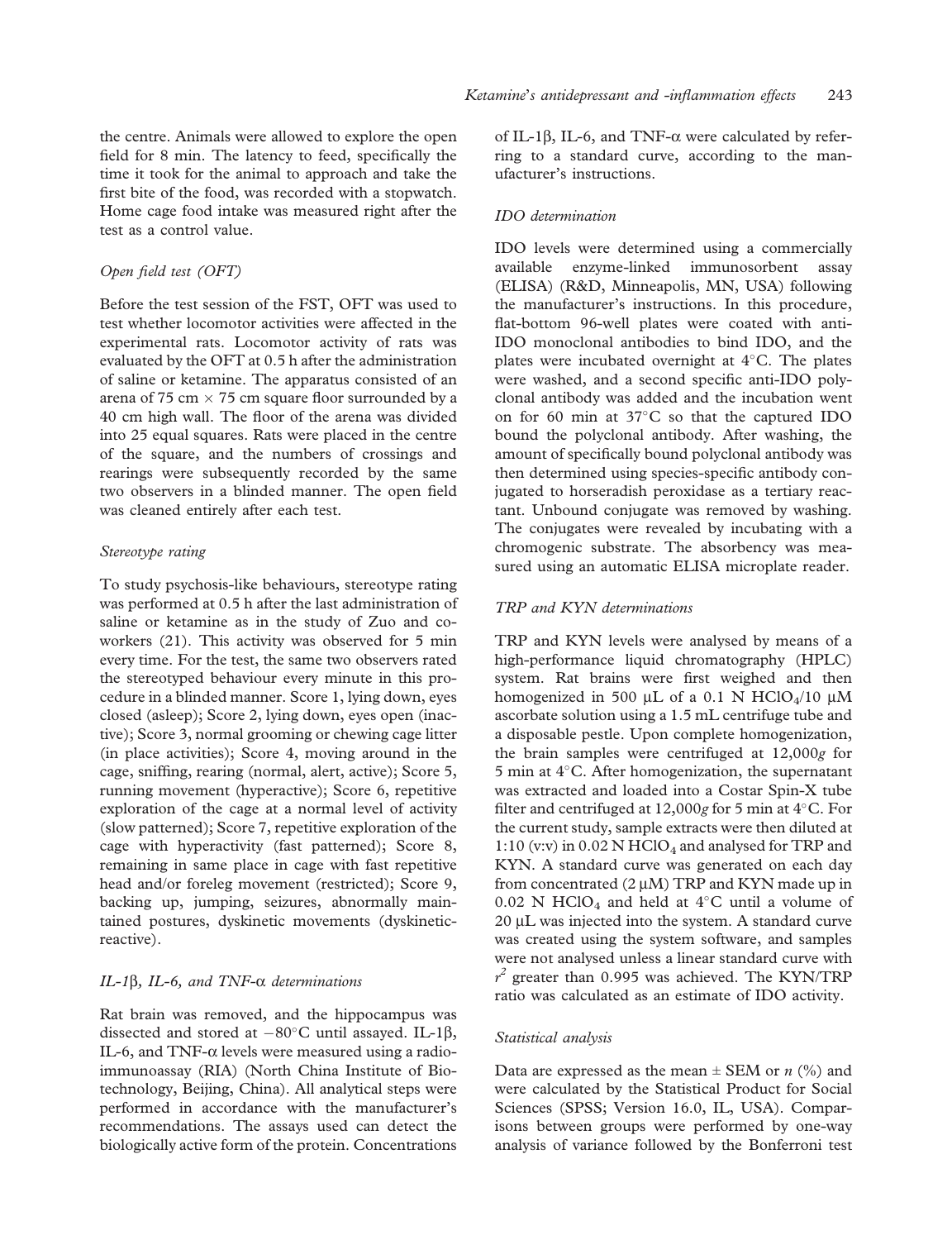the centre. Animals were allowed to explore the open field for 8 min. The latency to feed, specifically the time it took for the animal to approach and take the first bite of the food, was recorded with a stopwatch. Home cage food intake was measured right after the test as a control value.

#### Open field test (OFT)

Before the test session of the FST, OFT was used to test whether locomotor activities were affected in the experimental rats. Locomotor activity of rats was evaluated by the OFT at 0.5 h after the administration of saline or ketamine. The apparatus consisted of an arena of 75 cm  $\times$  75 cm square floor surrounded by a 40 cm high wall. The floor of the arena was divided into 25 equal squares. Rats were placed in the centre of the square, and the numbers of crossings and rearings were subsequently recorded by the same two observers in a blinded manner. The open field was cleaned entirely after each test.

#### Stereotype rating

To study psychosis-like behaviours, stereotype rating was performed at 0.5 h after the last administration of saline or ketamine as in the study of Zuo and coworkers ([21](#page-7-0)). This activity was observed for 5 min every time. For the test, the same two observers rated the stereotyped behaviour every minute in this procedure in a blinded manner. Score 1, lying down, eyes closed (asleep); Score 2, lying down, eyes open (inactive); Score 3, normal grooming or chewing cage litter (in place activities); Score 4, moving around in the cage, sniffing, rearing (normal, alert, active); Score 5, running movement (hyperactive); Score 6, repetitive exploration of the cage at a normal level of activity (slow patterned); Score 7, repetitive exploration of the cage with hyperactivity (fast patterned); Score 8, remaining in same place in cage with fast repetitive head and/or foreleg movement (restricted); Score 9, backing up, jumping, seizures, abnormally maintained postures, dyskinetic movements (dyskineticreactive).

#### IL-1 $\beta$ , IL-6, and TNF- $\alpha$  determinations

Rat brain was removed, and the hippocampus was dissected and stored at  $-80^{\circ}$ C until assayed. IL-1 $\beta$ , IL-6, and TNF- $\alpha$  levels were measured using a radioimmunoassay (RIA) (North China Institute of Biotechnology, Beijing, China). All analytical steps were performed in accordance with the manufacturer's recommendations. The assays used can detect the biologically active form of the protein. Concentrations

of IL-1 $\beta$ , IL-6, and TNF- $\alpha$  were calculated by referring to a standard curve, according to the manufacturer's instructions.

#### IDO determination

IDO levels were determined using a commercially available enzyme-linked immunosorbent assay (ELISA) (R&D, Minneapolis, MN, USA) following the manufacturer's instructions. In this procedure, flat-bottom 96-well plates were coated with anti-IDO monoclonal antibodies to bind IDO, and the plates were incubated overnight at  $4^{\circ}$ C. The plates were washed, and a second specific anti-IDO polyclonal antibody was added and the incubation went on for 60 min at  $37^{\circ}$ C so that the captured IDO bound the polyclonal antibody. After washing, the amount of specifically bound polyclonal antibody was then determined using species-specific antibody conjugated to horseradish peroxidase as a tertiary reactant. Unbound conjugate was removed by washing. The conjugates were revealed by incubating with a chromogenic substrate. The absorbency was measured using an automatic ELISA microplate reader.

#### TRP and KYN determinations

TRP and KYN levels were analysed by means of a high-performance liquid chromatography (HPLC) system. Rat brains were first weighed and then homogenized in 500  $\mu$ L of a 0.1 N HClO<sub>4</sub>/10  $\mu$ M ascorbate solution using a 1.5 mL centrifuge tube and a disposable pestle. Upon complete homogenization, the brain samples were centrifuged at 12,000g for 5 min at  $4^{\circ}$ C. After homogenization, the supernatant was extracted and loaded into a Costar Spin-X tube filter and centrifuged at  $12,000g$  for 5 min at  $4^{\circ}$ C. For the current study, sample extracts were then diluted at 1:10 (y:y) in  $0.02 \text{ N } HClO_4$  and analysed for TRP and KYN. A standard curve was generated on each day from concentrated  $(2 \mu M)$  TRP and KYN made up in 0.02 N HClO<sub>4</sub> and held at  $4^{\circ}$ C until a volume of 20 µL was injected into the system. A standard curve was created using the system software, and samples were not analysed unless a linear standard curve with  $r^2$  greater than 0.995 was achieved. The KYN/TRP ratio was calculated as an estimate of IDO activity.

#### Statistical analysis

Data are expressed as the mean  $\pm$  SEM or *n* (%) and were calculated by the Statistical Product for Social Sciences (SPSS; Version 16.0, IL, USA). Comparisons between groups were performed by one-way analysis of variance followed by the Bonferroni test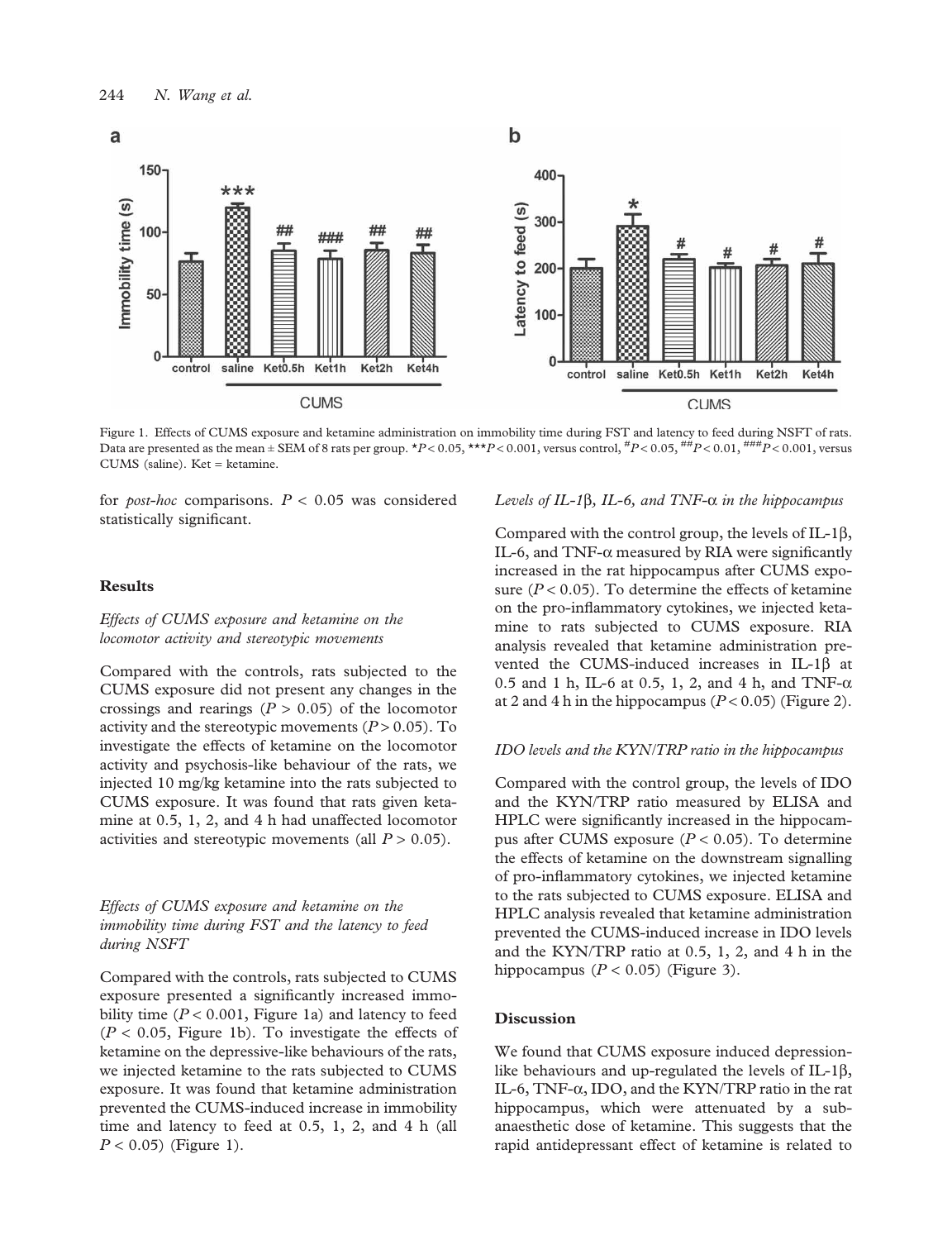

Figure 1. Effects of CUMS exposure and ketamine administration on immobility time during FST and latency to feed during NSFT of rats. Data are presented as the mean  $\pm$  SEM of 8 rats per group. \*P < 0.05, \*\*\*P < 0.001, versus control,  $^{{\#}}P$  < 0.05,  $^{{\#}}P$  < 0.01,  $^{{\#}}H$  = 0.01,  $^{{\#}}H$  = 0.001, versus CUMS (saline). Ket = ketamine.

for *post-hoc* comparisons.  $P < 0.05$  was considered statistically significant.

#### Results

#### Effects of CUMS exposure and ketamine on the locomotor activity and stereotypic movements

Compared with the controls, rats subjected to the CUMS exposure did not present any changes in the crossings and rearings  $(P > 0.05)$  of the locomotor activity and the stereotypic movements  $(P > 0.05)$ . To investigate the effects of ketamine on the locomotor activity and psychosis-like behaviour of the rats, we injected 10 mg/kg ketamine into the rats subjected to CUMS exposure. It was found that rats given ketamine at 0.5, 1, 2, and 4 h had unaffected locomotor activities and stereotypic movements (all  $P > 0.05$ ).

## Effects of CUMS exposure and ketamine on the immobility time during FST and the latency to feed during NSFT

Compared with the controls, rats subjected to CUMS exposure presented a significantly increased immobility time ( $P < 0.001$ , Figure 1a) and latency to feed  $(P < 0.05$ , Figure 1b). To investigate the effects of ketamine on the depressive-like behaviours of the rats, we injected ketamine to the rats subjected to CUMS exposure. It was found that ketamine administration prevented the CUMS-induced increase in immobility time and latency to feed at 0.5, 1, 2, and 4 h (all  $P < 0.05$ ) (Figure 1).

#### Levels of IL-1 $\beta$ , IL-6, and TNF- $\alpha$  in the hippocampus

Compared with the control group, the levels of IL-1 $\beta$ , IL-6, and TNF- $\alpha$  measured by RIA were significantly increased in the rat hippocampus after CUMS exposure  $(P < 0.05)$ . To determine the effects of ketamine on the pro-inflammatory cytokines, we injected ketamine to rats subjected to CUMS exposure. RIA analysis revealed that ketamine administration prevented the CUMS-induced increases in IL-1 $\beta$  at 0.5 and 1 h, IL-6 at 0.5, 1, 2, and 4 h, and TNF- $\alpha$ at 2 and 4 h in the hippocampus  $(P < 0.05)$  [\(Figure 2\)](#page-5-0).

#### IDO levels and the KYN/TRP ratio in the hippocampus

Compared with the control group, the levels of IDO and the KYN/TRP ratio measured by ELISA and HPLC were significantly increased in the hippocampus after CUMS exposure  $(P < 0.05)$ . To determine the effects of ketamine on the downstream signalling of pro-inflammatory cytokines, we injected ketamine to the rats subjected to CUMS exposure. ELISA and HPLC analysis revealed that ketamine administration prevented the CUMS-induced increase in IDO levels and the KYN/TRP ratio at 0.5, 1, 2, and 4 h in the hippocampus  $(P < 0.05)$  ([Figure 3\)](#page-5-0).

# Discussion

We found that CUMS exposure induced depressionlike behaviours and up-regulated the levels of IL-1 $\beta$ , IL-6, TNF- $\alpha$ , IDO, and the KYN/TRP ratio in the rat hippocampus, which were attenuated by a subanaesthetic dose of ketamine. This suggests that the rapid antidepressant effect of ketamine is related to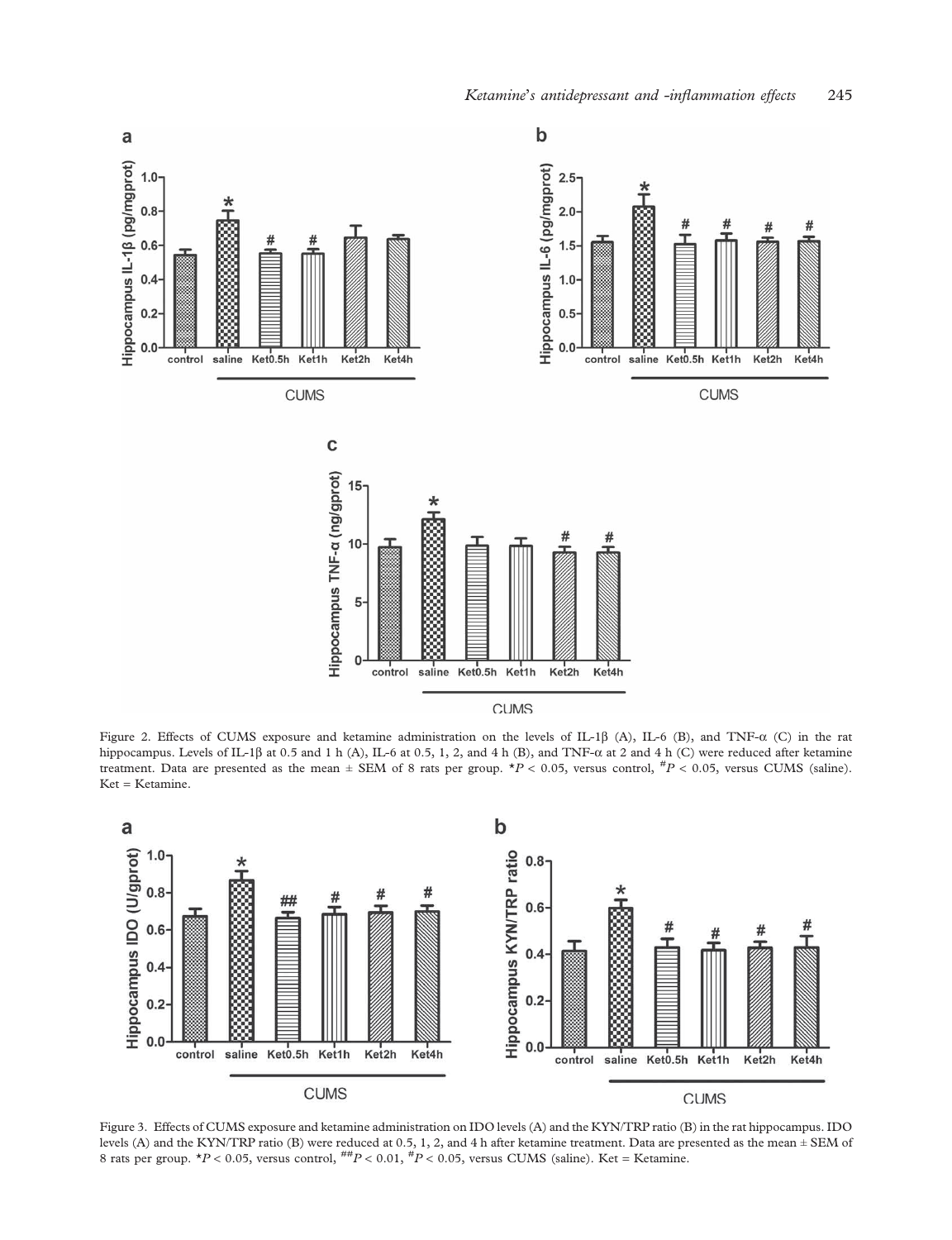<span id="page-5-0"></span>

Figure 2. Effects of CUMS exposure and ketamine administration on the levels of IL-1 $\beta$  (A), IL-6 (B), and TNF- $\alpha$  (C) in the rat hippocampus. Levels of IL-1 $\beta$  at 0.5 and 1 h (A), IL-6 at 0.5, 1, 2, and 4 h (B), and TNF- $\alpha$  at 2 and 4 h (C) were reduced after ketamine treatment. Data are presented as the mean  $\pm$  SEM of 8 rats per group.  $\star P < 0.05$ , versus control,  $\sharp P < 0.05$ , versus CUMS (saline). Ket = Ketamine.



Figure 3. Effects of CUMS exposure and ketamine administration on IDO levels (A) and the KYN/TRP ratio (B) in the rat hippocampus. IDO levels (A) and the KYN/TRP ratio (B) were reduced at 0.5, 1, 2, and 4 h after ketamine treatment. Data are presented as the mean ± SEM of 8 rats per group.  $*P < 0.05$ , versus control,  $^{ttP} < 0.01$ ,  $^{ttP} < 0.05$ , versus CUMS (saline). Ket = Ketamine.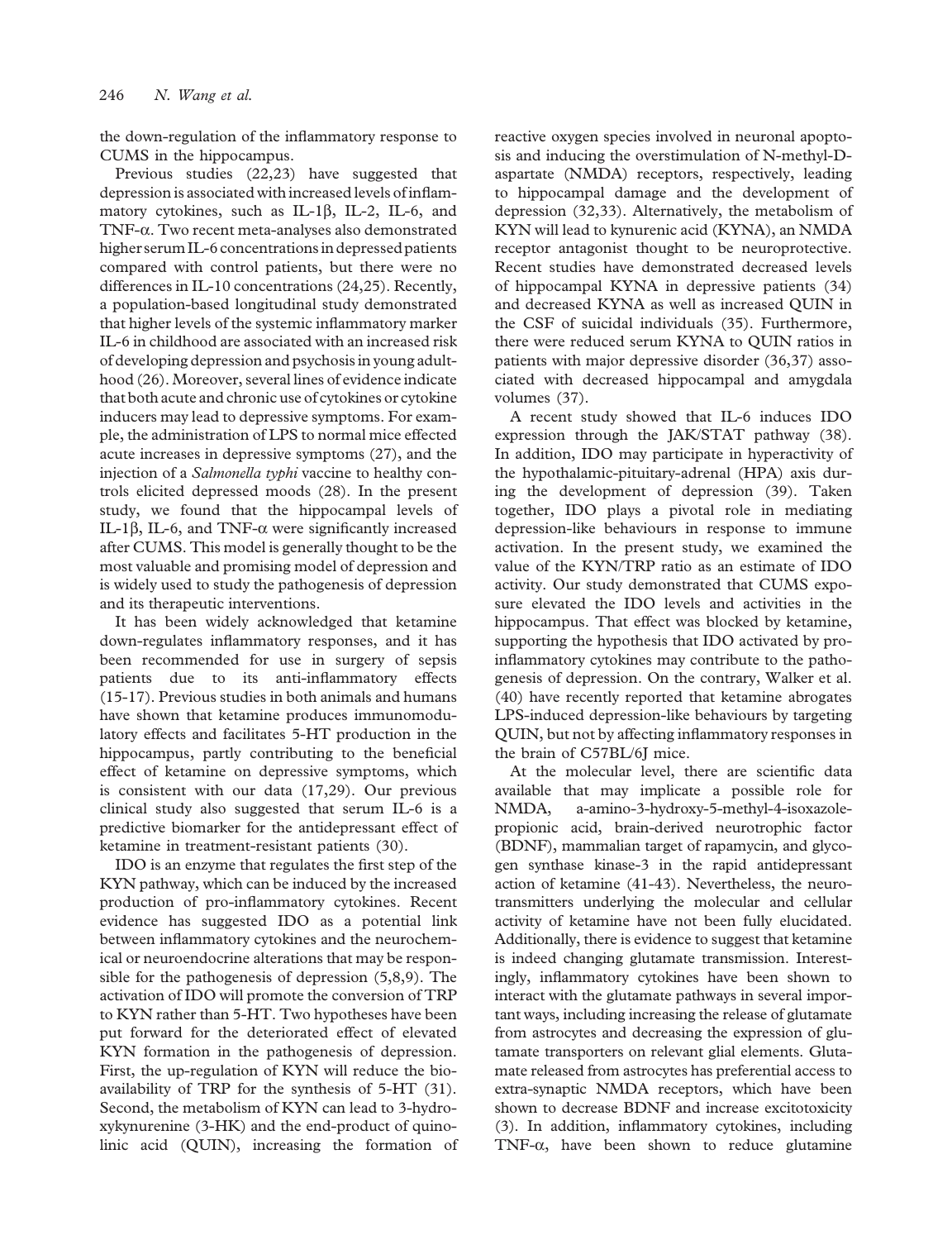the down-regulation of the inflammatory response to CUMS in the hippocampus.

Previous studies [\(22](#page-7-0),[23\)](#page-7-0) have suggested that depression is associated with increased levels of inflammatory cytokines, such as IL-1 $\beta$ , IL-2, IL-6, and TNF-a. Two recent meta-analyses also demonstrated higher serum IL-6 concentrations in depressed patients compared with control patients, but there were no differences in IL-10 concentrations [\(24,](#page-7-0)[25\)](#page-8-0). Recently, a population-based longitudinal study demonstrated that higher levels of the systemic inflammatory marker IL-6 in childhood are associated with an increased risk of developing depression and psychosis in young adulthood [\(26\)](#page-8-0). Moreover, several lines of evidence indicate that both acute and chronic use of cytokines or cytokine inducers may lead to depressive symptoms. For example, the administration of LPS to normal mice effected acute increases in depressive symptoms [\(27\)](#page-8-0), and the injection of a Salmonella typhi vaccine to healthy controls elicited depressed moods [\(28](#page-8-0)). In the present study, we found that the hippocampal levels of IL-1 $\beta$ , IL-6, and TNF- $\alpha$  were significantly increased after CUMS. This model is generally thought to be the most valuable and promising model of depression and is widely used to study the pathogenesis of depression and its therapeutic interventions.

It has been widely acknowledged that ketamine down-regulates inflammatory responses, and it has been recommended for use in surgery of sepsis patients due to its anti-inflammatory effects ([15](#page-7-0)-[17\)](#page-7-0). Previous studies in both animals and humans have shown that ketamine produces immunomodulatory effects and facilitates 5-HT production in the hippocampus, partly contributing to the beneficial effect of ketamine on depressive symptoms, which is consistent with our data ([17](#page-7-0)[,29](#page-8-0)). Our previous clinical study also suggested that serum IL-6 is a predictive biomarker for the antidepressant effect of ketamine in treatment-resistant patients [\(30\)](#page-8-0).

IDO is an enzyme that regulates the first step of the KYN pathway, which can be induced by the increased production of pro-inflammatory cytokines. Recent evidence has suggested IDO as a potential link between inflammatory cytokines and the neurochemical or neuroendocrine alterations that may be responsible for the pathogenesis of depression ([5,8,9\)](#page-7-0). The activation of IDO will promote the conversion of TRP to KYN rather than 5-HT. Two hypotheses have been put forward for the deteriorated effect of elevated KYN formation in the pathogenesis of depression. First, the up-regulation of KYN will reduce the bioavailability of TRP for the synthesis of 5-HT [\(31\)](#page-8-0). Second, the metabolism of KYN can lead to 3-hydroxykynurenine (3-HK) and the end-product of quinolinic acid (QUIN), increasing the formation of reactive oxygen species involved in neuronal apoptosis and inducing the overstimulation of N-methyl-Daspartate (NMDA) receptors, respectively, leading to hippocampal damage and the development of depression [\(32](#page-8-0),[33\)](#page-8-0). Alternatively, the metabolism of KYN will lead to kynurenic acid (KYNA), an NMDA receptor antagonist thought to be neuroprotective. Recent studies have demonstrated decreased levels of hippocampal KYNA in depressive patients [\(34\)](#page-8-0) and decreased KYNA as well as increased QUIN in the CSF of suicidal individuals [\(35\)](#page-8-0). Furthermore, there were reduced serum KYNA to QUIN ratios in patients with major depressive disorder ([36,37](#page-8-0)) associated with decreased hippocampal and amygdala volumes ([37\)](#page-8-0).

A recent study showed that IL-6 induces IDO expression through the JAK/STAT pathway [\(38\)](#page-8-0). In addition, IDO may participate in hyperactivity of the hypothalamic-pituitary-adrenal (HPA) axis during the development of depression [\(39](#page-8-0)). Taken together, IDO plays a pivotal role in mediating depression-like behaviours in response to immune activation. In the present study, we examined the value of the KYN/TRP ratio as an estimate of IDO activity. Our study demonstrated that CUMS exposure elevated the IDO levels and activities in the hippocampus. That effect was blocked by ketamine, supporting the hypothesis that IDO activated by proinflammatory cytokines may contribute to the pathogenesis of depression. On the contrary, Walker et al. ([40](#page-8-0)) have recently reported that ketamine abrogates LPS-induced depression-like behaviours by targeting QUIN, but not by affecting inflammatory responses in the brain of C57BL/6J mice.

At the molecular level, there are scientific data available that may implicate a possible role for NMDA, a-amino-3-hydroxy-5-methyl-4-isoxazolepropionic acid, brain-derived neurotrophic factor (BDNF), mammalian target of rapamycin, and glycogen synthase kinase-3 in the rapid antidepressant action of ketamine ([41](#page-8-0)-[43](#page-8-0)). Nevertheless, the neurotransmitters underlying the molecular and cellular activity of ketamine have not been fully elucidated. Additionally, there is evidence to suggest that ketamine is indeed changing glutamate transmission. Interestingly, inflammatory cytokines have been shown to interact with the glutamate pathways in several important ways, including increasing the release of glutamate from astrocytes and decreasing the expression of glutamate transporters on relevant glial elements. Glutamate released from astrocytes has preferential access to extra-synaptic NMDA receptors, which have been shown to decrease BDNF and increase excitotoxicity [\(3\)](#page-7-0). In addition, inflammatory cytokines, including TNF- $\alpha$ , have been shown to reduce glutamine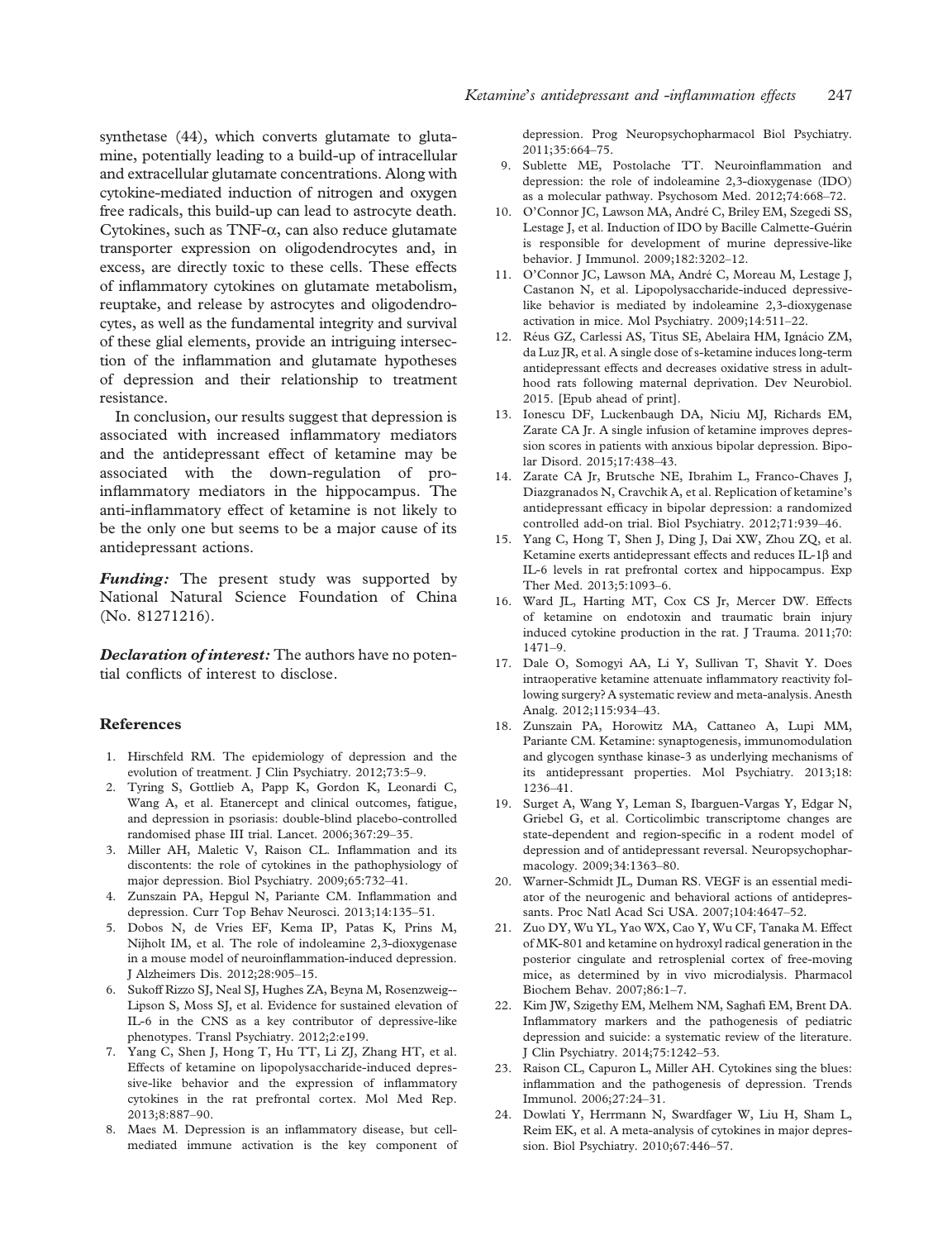<span id="page-7-0"></span>synthetase ([44](#page-8-0)), which converts glutamate to glutamine, potentially leading to a build-up of intracellular and extracellular glutamate concentrations. Along with cytokine-mediated induction of nitrogen and oxygen free radicals, this build-up can lead to astrocyte death. Cytokines, such as  $TNF-\alpha$ , can also reduce glutamate transporter expression on oligodendrocytes and, in excess, are directly toxic to these cells. These effects of inflammatory cytokines on glutamate metabolism, reuptake, and release by astrocytes and oligodendrocytes, as well as the fundamental integrity and survival of these glial elements, provide an intriguing intersection of the inflammation and glutamate hypotheses of depression and their relationship to treatment resistance.

In conclusion, our results suggest that depression is associated with increased inflammatory mediators and the antidepressant effect of ketamine may be associated with the down-regulation of proinflammatory mediators in the hippocampus. The anti-inflammatory effect of ketamine is not likely to be the only one but seems to be a major cause of its antidepressant actions.

Funding: The present study was supported by National Natural Science Foundation of China (No. 81271216).

**Declaration of interest:** The authors have no potential conflicts of interest to disclose.

#### References

- 1. Hirschfeld RM. The epidemiology of depression and the evolution of treatment. J Clin Psychiatry. 2012;73:5–9.
- 2. Tyring S, Gottlieb A, Papp K, Gordon K, Leonardi C, Wang A, et al. [Etanercept and clinical outcomes, fatigue,](http://www.ncbi.nlm.nih.gov/pubmed/16399150?dopt=Abstract) [and depression in psoriasis: double-blind placebo-controlled](http://www.ncbi.nlm.nih.gov/pubmed/16399150?dopt=Abstract) [randomised phase III trial](http://www.ncbi.nlm.nih.gov/pubmed/16399150?dopt=Abstract). Lancet. 2006;367:29–35.
- 3. Miller AH, Maletic V, Raison CL. Infl[ammation and its](http://www.ncbi.nlm.nih.gov/pubmed/19150053?dopt=Abstract) [discontents: the role of cytokines in the pathophysiology of](http://www.ncbi.nlm.nih.gov/pubmed/19150053?dopt=Abstract) [major depression.](http://www.ncbi.nlm.nih.gov/pubmed/19150053?dopt=Abstract) Biol Psychiatry. 2009;65:732–41.
- 4. Zunszain PA, Hepgul N, Pariante CM. Infl[ammation and](http://www.ncbi.nlm.nih.gov/pubmed/22553073?dopt=Abstract) [depression](http://www.ncbi.nlm.nih.gov/pubmed/22553073?dopt=Abstract). Curr Top Behav Neurosci. 2013;14:135–51.
- 5. Dobos N, de Vries EF, Kema IP, Patas K, Prins M, Nijholt IM, et al. [The role of indoleamine 2,3-dioxygenase](http://www.ncbi.nlm.nih.gov/pubmed/22112548?dopt=Abstract) in a mouse model of neuroinfl[ammation-induced depression](http://www.ncbi.nlm.nih.gov/pubmed/22112548?dopt=Abstract). J Alzheimers Dis. 2012;28:905–15.
- 6. Sukoff Rizzo SJ, Neal SJ, Hughes ZA, Beyna M, Rosenzweig-- Lipson S, Moss SJ, et al. [Evidence for sustained elevation of](http://www.ncbi.nlm.nih.gov/pubmed/23212583?dopt=Abstract) [IL-6 in the CNS as a key contributor of depressive-like](http://www.ncbi.nlm.nih.gov/pubmed/23212583?dopt=Abstract) [phenotypes.](http://www.ncbi.nlm.nih.gov/pubmed/23212583?dopt=Abstract) Transl Psychiatry. 2012;2:e199.
- 7. Yang C, Shen J, Hong T, Hu TT, Li ZJ, Zhang HT, et al. [Effects of ketamine on lipopolysaccharide-induced depres](http://www.ncbi.nlm.nih.gov/pubmed/23900245?dopt=Abstract)[sive-like behavior and the expression of in](http://www.ncbi.nlm.nih.gov/pubmed/23900245?dopt=Abstract)flammatory [cytokines in the rat prefrontal cortex.](http://www.ncbi.nlm.nih.gov/pubmed/23900245?dopt=Abstract) Mol Med Rep. 2013;8:887–90.
- 8. Maes M. Depression is an infl[ammatory disease, but cell](http://www.ncbi.nlm.nih.gov/pubmed/20599581?dopt=Abstract)[mediated immune activation is the key component of](http://www.ncbi.nlm.nih.gov/pubmed/20599581?dopt=Abstract)

[depression](http://www.ncbi.nlm.nih.gov/pubmed/20599581?dopt=Abstract). Prog Neuropsychopharmacol Biol Psychiatry. 2011;35:664–75.

- 9. Sublette ME, Postolache TT. Neuroinfl[ammation and](http://www.ncbi.nlm.nih.gov/pubmed/22923699?dopt=Abstract) [depression: the role of indoleamine 2,3-dioxygenase \(IDO\)](http://www.ncbi.nlm.nih.gov/pubmed/22923699?dopt=Abstract) [as a molecular pathway](http://www.ncbi.nlm.nih.gov/pubmed/22923699?dopt=Abstract). Psychosom Med. 2012;74:668–72.
- 10. O'Connor JC, Lawson MA, André C, Briley EM, Szegedi SS, Lestage J, et al. [Induction of IDO by Bacille Calmette-Guérin](http://www.ncbi.nlm.nih.gov/pubmed/19234218?dopt=Abstract) [is responsible for development of murine depressive-like](http://www.ncbi.nlm.nih.gov/pubmed/19234218?dopt=Abstract) [behavior](http://www.ncbi.nlm.nih.gov/pubmed/19234218?dopt=Abstract). J Immunol. 2009;182:3202–12.
- 11. O'Connor JC, Lawson MA, André C, Moreau M, Lestage J, Castanon N, et al. [Lipopolysaccharide-induced depressive](http://www.ncbi.nlm.nih.gov/pubmed/18195714?dopt=Abstract)[like behavior is mediated by indoleamine 2,3-dioxygenase](http://www.ncbi.nlm.nih.gov/pubmed/18195714?dopt=Abstract) [activation in mice.](http://www.ncbi.nlm.nih.gov/pubmed/18195714?dopt=Abstract) Mol Psychiatry. 2009;14:511–22.
- 12. Réus GZ, Carlessi AS, Titus SE, Abelaira HM, Ignácio ZM, da Luz JR, et al. A single dose of s-ketamine induces long-term antidepressant effects and decreases oxidative stress in adulthood rats following maternal deprivation. Dev Neurobiol. 2015. [Epub ahead of print].
- 13. Ionescu DF, Luckenbaugh DA, Niciu MJ, Richards EM, Zarate CA Jr. [A single infusion of ketamine improves depres](http://www.ncbi.nlm.nih.gov/pubmed/25400146?dopt=Abstract)[sion scores in patients with anxious bipolar depression.](http://www.ncbi.nlm.nih.gov/pubmed/25400146?dopt=Abstract) Bipolar Disord. 2015;17:438–43.
- 14. Zarate CA Jr, Brutsche NE, Ibrahim L, Franco-Chaves J, Diazgranados N, Cravchik A, et al. [Replication of ketamine](http://www.ncbi.nlm.nih.gov/pubmed/22297150?dopt=Abstract)'[s](http://www.ncbi.nlm.nih.gov/pubmed/22297150?dopt=Abstract) antidepressant effi[cacy in bipolar depression: a randomized](http://www.ncbi.nlm.nih.gov/pubmed/22297150?dopt=Abstract) [controlled add-on trial.](http://www.ncbi.nlm.nih.gov/pubmed/22297150?dopt=Abstract) Biol Psychiatry. 2012;71:939–46.
- 15. Yang C, Hong T, Shen J, Ding J, Dai XW, Zhou ZQ, et al. [Ketamine exerts antidepressant effects and reduces IL-1](http://www.ncbi.nlm.nih.gov/pubmed/23596475?dopt=Abstract) $\beta$  [and](http://www.ncbi.nlm.nih.gov/pubmed/23596475?dopt=Abstract) [IL-6 levels in rat prefrontal cortex and hippocampus.](http://www.ncbi.nlm.nih.gov/pubmed/23596475?dopt=Abstract) Exp Ther Med. 2013;5:1093–6.
- 16. Ward JL, Harting MT, Cox CS Jr, Mercer DW. [Effects](http://www.ncbi.nlm.nih.gov/pubmed/21817985?dopt=Abstract) [of ketamine on endotoxin and traumatic brain injury](http://www.ncbi.nlm.nih.gov/pubmed/21817985?dopt=Abstract) [induced cytokine production in the rat](http://www.ncbi.nlm.nih.gov/pubmed/21817985?dopt=Abstract). J Trauma. 2011;70: 1471–9.
- 17. Dale O, Somogyi AA, Li Y, Sullivan T, Shavit Y. [Does](http://www.ncbi.nlm.nih.gov/pubmed/22826531?dopt=Abstract) [intraoperative ketamine attenuate in](http://www.ncbi.nlm.nih.gov/pubmed/22826531?dopt=Abstract)flammatory reactivity fol[lowing surgery? A systematic review and meta-analysis.](http://www.ncbi.nlm.nih.gov/pubmed/22826531?dopt=Abstract) Anesth Analg. 2012;115:934–43.
- 18. Zunszain PA, Horowitz MA, Cattaneo A, Lupi MM, Pariante CM. [Ketamine: synaptogenesis, immunomodulation](http://www.ncbi.nlm.nih.gov/pubmed/23877835?dopt=Abstract) [and glycogen synthase kinase-3 as underlying mechanisms of](http://www.ncbi.nlm.nih.gov/pubmed/23877835?dopt=Abstract) [its antidepressant properties](http://www.ncbi.nlm.nih.gov/pubmed/23877835?dopt=Abstract). Mol Psychiatry. 2013;18: 1236–41.
- 19. Surget A, Wang Y, Leman S, Ibarguen-Vargas Y, Edgar N, Griebel G, et al. [Corticolimbic transcriptome changes are](http://www.ncbi.nlm.nih.gov/pubmed/18536703?dopt=Abstract) [state-dependent and region-speci](http://www.ncbi.nlm.nih.gov/pubmed/18536703?dopt=Abstract)fic in a rodent model of [depression and of antidepressant reversal.](http://www.ncbi.nlm.nih.gov/pubmed/18536703?dopt=Abstract) Neuropsychopharmacology. 2009;34:1363–80.
- 20. Warner-Schmidt JL, Duman RS. VEG[F is an essential medi](http://www.ncbi.nlm.nih.gov/pubmed/17360578?dopt=Abstract)[ator of the neurogenic and behavioral actions of antidepres](http://www.ncbi.nlm.nih.gov/pubmed/17360578?dopt=Abstract)[sants](http://www.ncbi.nlm.nih.gov/pubmed/17360578?dopt=Abstract). Proc Natl Acad Sci USA. 2007;104:4647–52.
- 21. Zuo DY, Wu YL, Yao WX, Cao Y, Wu CF, Tanaka M. [Effect](http://www.ncbi.nlm.nih.gov/pubmed/16806445?dopt=Abstract) [of MK-801 and ketamine on hydroxyl radical generation in the](http://www.ncbi.nlm.nih.gov/pubmed/16806445?dopt=Abstract) [posterior cingulate and retrosplenial cortex of free-moving](http://www.ncbi.nlm.nih.gov/pubmed/16806445?dopt=Abstract) [mice, as determined by in vivo microdialysis.](http://www.ncbi.nlm.nih.gov/pubmed/16806445?dopt=Abstract) Pharmacol Biochem Behav. 2007;86:1–7.
- 22. Kim JW, Szigethy EM, Melhem NM, Saghafi EM, Brent DA. Infl[ammatory markers and the pathogenesis of pediatric](http://www.ncbi.nlm.nih.gov/pubmed/25470085?dopt=Abstract) [depression and suicide: a systematic review of the literature](http://www.ncbi.nlm.nih.gov/pubmed/25470085?dopt=Abstract). J Clin Psychiatry. 2014;75:1242–53.
- 23. Raison CL, Capuron L, Miller AH. [Cytokines sing the blues:](http://www.ncbi.nlm.nih.gov/pubmed/16316783?dopt=Abstract) infl[ammation and the pathogenesis of depression](http://www.ncbi.nlm.nih.gov/pubmed/16316783?dopt=Abstract). Trends Immunol. 2006;27:24–31.
- 24. Dowlati Y, Herrmann N, Swardfager W, Liu H, Sham L, Reim EK, et al. A meta-analysis of cytokines in major depression. Biol Psychiatry. 2010;67:446–57.